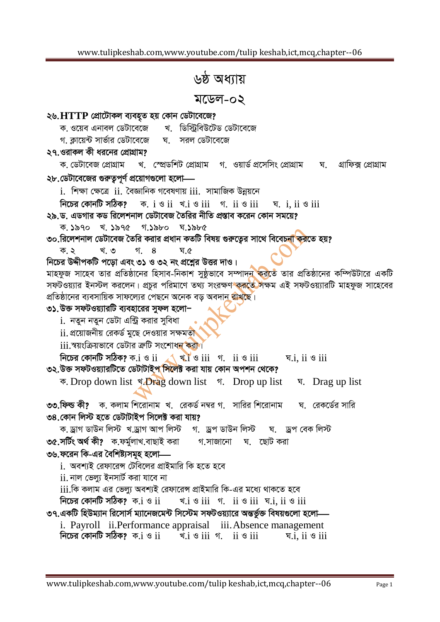## ৬ষ্ঠ অধ্যায়

## মডেল-০২

## ২৬. HTTP প্রোটোকল ব্যবহৃত হয় কোন ডেটাবেজে?

খ ডিস্টিবিউটেড ডেটাবেজে ক, ওয়েব এনাবল ডেটাবেজে

গ কায়েন্ট সার্ভার ডেটাবেজে ঘ সরল ডেটাবেজে

২৭.ওরাকল কী ধরনের প্রোগ্রাম?

ক ডেটাবেজ প্রোগ্রাম খ স্প্রেডশিট প্রোগ্রাম গ ওয়ার্ড প্রসেসিং প্রোগ্রাম ঘ গ্ৰাফিক্স প্ৰোগ্ৰাম ২৮.ডেটাবেজের গুরুত্বপূর্ণ প্রয়োগগুলো হলো—

 $i$ . শিক্ষা ক্ষেত্রে  $ii$ . বৈজ্ঞানিক গবেষণায়  $iii$ . সামাজিক উন্নয়নে

নিচের কোনটি সঠিক? ক.  $i \circ ii \preceq i$   $i \circ iii \preceq i$   $ii \circ iii \preceq i$ .  $ii \circ iii$ 

২৯.ড. এডগার কড রিলেশনাল ডেটাবেজ তৈরির নীতি প্রস্তাব করেন কোন সময়ে?

 $\overline{\phi}$ .  $\overline{\phi}$  and  $\overline{\phi}$  and  $\overline{\phi}$  and  $\overline{\phi}$  and  $\overline{\phi}$  and  $\overline{\phi}$  and  $\overline{\phi}$  and  $\overline{\phi}$  and  $\overline{\phi}$  and  $\overline{\phi}$  and  $\overline{\phi}$  and  $\overline{\phi}$  and  $\overline{\phi}$  and  $\overline{\phi}$  and  $\overline{\phi}$  and  $\overline{\phi}$  and  $\over$ 

৩০.রিলেশনাল ডেটাবেজ তৈরি করার প্রধান কতটি বিষয় গুরুতের সাথে বিবেচ<mark>না ক</mark>রতে হয়?

খ. ৩ গ. 8 ঘ.৫ ক. ২

নিচের উদ্দীপকটি পড়ো এবং ৩১ ও ৩২ নং প্রশ্নের উত্তর দাও।

মাহফুজ সাহেব তার প্রতিষ্ঠানের হিসাব-নিকাশ সুষ্ঠূভাবে সম্পাদন করতে তার প্রতিষ্ঠানের কম্পিউটারে একটি সফটওয়্যার ইনস্টল করলেন। প্রচুর পরিমাণে তথ্য সংরক্ষণ কর**ে** সক্ষম এই সফটওয়্যারটি মাহফুজ সাহেবের প্রতিষ্ঠানের ব্যবসায়িক সাফল্যের পেছনে অনেক বড অবদান <mark>রাখছে।</mark>

## ৩১.উক্ত সফটওয়্যারটি ব্যবহারের সুফল হলো–

<u>i. নতুন নতুন ডেটা এন্ট্রি করার সবিধা</u>

 $\,$ ii. প্রয়োজনীয় রেকর্ড মুছে দেওয়ার সক্ষমতা

iii.স্বয়ংক্রিয়ভাবে ডেটার ক্রটি সংশোধন করা।

নিচের কোনটি সঠিক? ক. $i \otimes ii \rightarrow \ast i \otimes iii \Rightarrow i$  ii  $\otimes iii \rightarrow \ast i$ , ii  $\otimes iii$ ৩২.উক্ত সফটওয়্যারটিতে ডেটাটাই<mark>প সিলে</mark>ক্ট করা যায় কোন অপশন থেকে?

 $\overline{\Phi}$ . Drop down list  $\overline{\Phi}$ . Drop up list  $\overline{\Phi}$ . Drop up list  $\overline{\Phi}$ . Drag up list

৩৩.ফিল্ড কী? ক. কলাম শিরোনাম খ. রেকর্ড নম্বর গ. সারির শিরোনাম ঘ. রেকর্ডের সারি ৩৪ কোন লিস্ট হতে ডেটাটাইপ সিলেক্ট করা যায়?

ক.ড্ৰাগ ডাউন লিস্ট খ.ড্ৰাগ আপ লিস্ট গ. ড্ৰপ ডাউন লিস্ট ঘ. ড্ৰপ বেক লিস্ট ৩৫.সৰ্টিং অৰ্থ কী? ক.ফৰ্মুলাখ.বাছাই করা গ,সাজানো ঘ. ছোট-করা ৩৬.ফরেন কি-এর বৈশিষ্ট্যসমূহ হলো—

i. অবশ্যই রেফারেন্স টেবিলের প্রাইমারি কি হতে হবে

 $\,$ ii. নাল ভেল্যু ইনসার্ট করা যাবে না

<u>iii.কি কলাম এর ভেল্য অবশ্যই রেফারেন্স প্রাইমারি কি-এর মধ্যে থাকতে হবে</u>

নিচের কোনটি সঠিক?  $\,$ ক. $\,$ i ও $\,$ i $\,$ i  $\triangleleft$ . i  $\triangleleft$  ii  $\triangleleft$  ii  $\triangleleft$  iii  $\triangleleft$  iii  $\triangleleft$  iii

৩৭.একটি হিউম্যান রিসোর্স ম্যানেজমেন্ট সিস্টেম সফটওয়্যারে অন্তর্ভুক্ত বিষয়গুলো হলো—

i. Payroll ii. Performance appraisal iii. Absence management নিচের কোনটি সঠিক? ক. $i \otimes ii$ খ. $i \otimes ii$  গ  $ii \otimes iii$ ঘ. $i$ .  $i$ i ও  $ii$ i